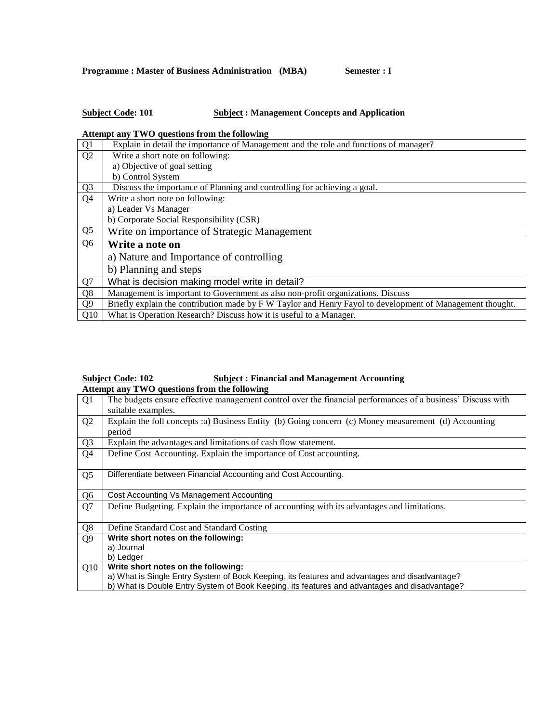## **Subject Code: 101 Subject : Management Concepts and Application**

### **Attempt any TWO questions from the following**

| Q1             | Explain in detail the importance of Management and the role and functions of manager?                     |
|----------------|-----------------------------------------------------------------------------------------------------------|
| Q2             | Write a short note on following:                                                                          |
|                | a) Objective of goal setting                                                                              |
|                | b) Control System                                                                                         |
| Q <sub>3</sub> | Discuss the importance of Planning and controlling for achieving a goal.                                  |
| Q <sub>4</sub> | Write a short note on following:                                                                          |
|                | a) Leader Vs Manager                                                                                      |
|                | b) Corporate Social Responsibility (CSR)                                                                  |
| Q <sub>5</sub> | Write on importance of Strategic Management                                                               |
| Q <sub>6</sub> | Write a note on                                                                                           |
|                | a) Nature and Importance of controlling                                                                   |
|                | b) Planning and steps                                                                                     |
| Q7             | What is decision making model write in detail?                                                            |
| Q8             | Management is important to Government as also non-profit organizations. Discuss                           |
| Q <sub>9</sub> | Briefly explain the contribution made by F W Taylor and Henry Fayol to development of Management thought. |
| Q10            | What is Operation Research? Discuss how it is useful to a Manager.                                        |

### **Subject Code: 102 Subject : Financial and Management Accounting Attempt any TWO questions from the following**

|                | $\mu$ and $\mu$ and $\mu$ are $\mu$ and $\mu$ and $\mu$ and $\mu$ and $\mu$                                 |
|----------------|-------------------------------------------------------------------------------------------------------------|
| Q <sub>1</sub> | The budgets ensure effective management control over the financial performances of a business' Discuss with |
|                | suitable examples.                                                                                          |
| Q <sub>2</sub> | Explain the foll concepts :a) Business Entity (b) Going concern (c) Money measurement (d) Accounting        |
|                | period                                                                                                      |
| Q <sub>3</sub> | Explain the advantages and limitations of cash flow statement.                                              |
| Q4             | Define Cost Accounting. Explain the importance of Cost accounting.                                          |
|                |                                                                                                             |
| Q <sub>5</sub> | Differentiate between Financial Accounting and Cost Accounting.                                             |
|                |                                                                                                             |
| Q <sub>6</sub> | Cost Accounting Vs Management Accounting                                                                    |
| Q7             | Define Budgeting. Explain the importance of accounting with its advantages and limitations.                 |
|                |                                                                                                             |
| Q <sub>8</sub> | Define Standard Cost and Standard Costing                                                                   |
| Q <sub>9</sub> | Write short notes on the following:                                                                         |
|                | a) Journal                                                                                                  |
|                | b) Ledger                                                                                                   |
| Q10            | Write short notes on the following:                                                                         |
|                | a) What is Single Entry System of Book Keeping, its features and advantages and disadvantage?               |
|                | b) What is Double Entry System of Book Keeping, its features and advantages and disadvantage?               |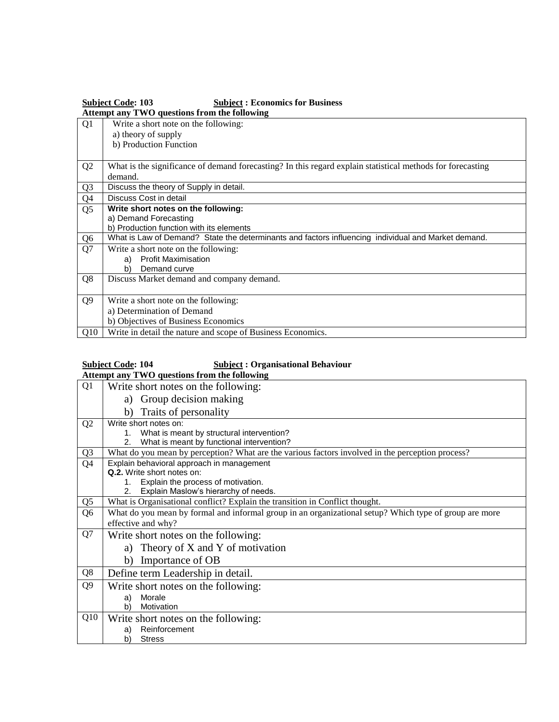| <b>Subject Code: 103</b><br><b>Subject: Economics for Business</b><br>Attempt any TWO questions from the following |                                                                                                            |
|--------------------------------------------------------------------------------------------------------------------|------------------------------------------------------------------------------------------------------------|
| Q1                                                                                                                 | Write a short note on the following:                                                                       |
|                                                                                                                    | a) theory of supply                                                                                        |
|                                                                                                                    | b) Production Function                                                                                     |
| Q <sub>2</sub>                                                                                                     | What is the significance of demand forecasting? In this regard explain statistical methods for forecasting |
|                                                                                                                    | demand.                                                                                                    |
| Q <sub>3</sub>                                                                                                     | Discuss the theory of Supply in detail.                                                                    |
| Q4                                                                                                                 | Discuss Cost in detail                                                                                     |
| Q <sub>5</sub>                                                                                                     | Write short notes on the following:                                                                        |
|                                                                                                                    | a) Demand Forecasting                                                                                      |
|                                                                                                                    | b) Production function with its elements                                                                   |
| Q <sub>6</sub>                                                                                                     | What is Law of Demand? State the determinants and factors influencing individual and Market demand.        |
| Q7                                                                                                                 | Write a short note on the following:                                                                       |
|                                                                                                                    | <b>Profit Maximisation</b><br>a)                                                                           |
|                                                                                                                    | Demand curve<br>b)                                                                                         |
| Q8                                                                                                                 | Discuss Market demand and company demand.                                                                  |
|                                                                                                                    |                                                                                                            |
| Q <sub>9</sub>                                                                                                     | Write a short note on the following:                                                                       |
|                                                                                                                    | a) Determination of Demand                                                                                 |
|                                                                                                                    | b) Objectives of Business Economics                                                                        |
| Q10                                                                                                                | Write in detail the nature and scope of Business Economics.                                                |

# **Subject Code: 104 Subject : Organisational Behaviour**

**Attempt any TWO questions from the following**

| Q1             | Write short notes on the following:                                                                    |
|----------------|--------------------------------------------------------------------------------------------------------|
|                | Group decision making<br>a)                                                                            |
|                | Traits of personality<br>b)                                                                            |
| Q <sub>2</sub> | Write short notes on:                                                                                  |
|                | What is meant by structural intervention?<br>1.                                                        |
|                | What is meant by functional intervention?<br>2 <sub>1</sub>                                            |
| Q <sub>3</sub> | What do you mean by perception? What are the various factors involved in the perception process?       |
| Q <sub>4</sub> | Explain behavioral approach in management                                                              |
|                | Q.2. Write short notes on:                                                                             |
|                | Explain the process of motivation.<br>1.                                                               |
|                | Explain Maslow's hierarchy of needs.<br>2.                                                             |
| Q <sub>5</sub> | What is Organisational conflict? Explain the transition in Conflict thought.                           |
| Q <sub>6</sub> | What do you mean by formal and informal group in an organizational setup? Which type of group are more |
|                | effective and why?                                                                                     |
| Q7             | Write short notes on the following:                                                                    |
|                | a) Theory of X and Y of motivation                                                                     |
|                | Importance of OB<br>b)                                                                                 |
| Q <sub>8</sub> | Define term Leadership in detail.                                                                      |
| Q <sub>9</sub> | Write short notes on the following:                                                                    |
|                | Morale<br>a)                                                                                           |
|                | b)<br>Motivation                                                                                       |
| Q10            | Write short notes on the following:                                                                    |
|                | Reinforcement<br>a)                                                                                    |
|                | b)<br><b>Stress</b>                                                                                    |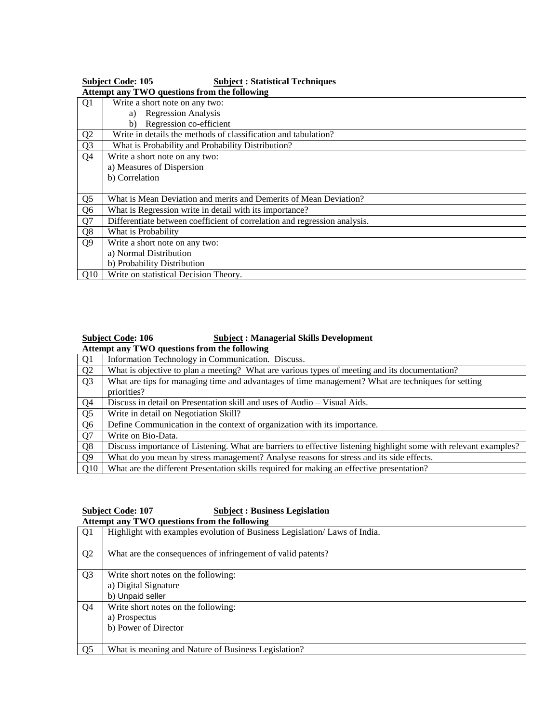|                | <b>Subject Code: 105</b><br><b>Subject: Statistical Techniques</b>        |  |
|----------------|---------------------------------------------------------------------------|--|
|                | Attempt any TWO questions from the following                              |  |
| Q1             | Write a short note on any two:                                            |  |
|                | <b>Regression Analysis</b><br>a)                                          |  |
|                | Regression co-efficient<br>b)                                             |  |
| Q <sub>2</sub> | Write in details the methods of classification and tabulation?            |  |
| Q <sub>3</sub> | What is Probability and Probability Distribution?                         |  |
| Q4             | Write a short note on any two:                                            |  |
|                | a) Measures of Dispersion                                                 |  |
|                | b) Correlation                                                            |  |
|                |                                                                           |  |
| Q <sub>5</sub> | What is Mean Deviation and merits and Demerits of Mean Deviation?         |  |
| Q <sub>6</sub> | What is Regression write in detail with its importance?                   |  |
| Q7             | Differentiate between coefficient of correlation and regression analysis. |  |
| Q8             | What is Probability                                                       |  |
| Q <sub>9</sub> | Write a short note on any two:                                            |  |
|                | a) Normal Distribution                                                    |  |
|                | b) Probability Distribution                                               |  |
| Q10            | Write on statistical Decision Theory.                                     |  |

## **Subject Code: 106 Subject : Managerial Skills Development Attempt any TWO questions from the following**

| Q <sub>1</sub> | Information Technology in Communication. Discuss.                                                                |
|----------------|------------------------------------------------------------------------------------------------------------------|
| Q2             | What is objective to plan a meeting? What are various types of meeting and its documentation?                    |
| Q <sub>3</sub> | What are tips for managing time and advantages of time management? What are techniques for setting               |
|                | priorities?                                                                                                      |
| Q <sub>4</sub> | Discuss in detail on Presentation skill and uses of Audio – Visual Aids.                                         |
| Q <sub>5</sub> | Write in detail on Negotiation Skill?                                                                            |
| Q <sub>6</sub> | Define Communication in the context of organization with its importance.                                         |
| Q7             | Write on Bio-Data.                                                                                               |
| Q <sub>8</sub> | Discuss importance of Listening. What are barriers to effective listening highlight some with relevant examples? |
| Q <sub>9</sub> | What do you mean by stress management? Analyse reasons for stress and its side effects.                          |
| Q10            | What are the different Presentation skills required for making an effective presentation?                        |

#### **Subject Code: 107 Subject : Business Legislation Attempt any TWO questions from the following**

|                | Transmitted to the state of the state $\frac{1}{2}$                       |
|----------------|---------------------------------------------------------------------------|
| Q <sub>1</sub> | Highlight with examples evolution of Business Legislation/ Laws of India. |
| Q <sub>2</sub> | What are the consequences of infringement of valid patents?               |
| Q <sub>3</sub> | Write short notes on the following:                                       |
|                | a) Digital Signature                                                      |
|                | b) Unpaid seller                                                          |
| Q4             | Write short notes on the following:                                       |
|                | a) Prospectus                                                             |
|                | b) Power of Director                                                      |
|                |                                                                           |
| Q <sub>5</sub> | What is meaning and Nature of Business Legislation?                       |
|                |                                                                           |